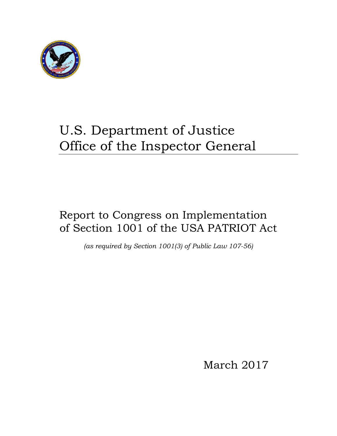

# U.S. Department of Justice Office of the Inspector General

# Report to Congress on Implementation of Section 1001 of the USA PATRIOT Act

*(as required by Section 1001(3) of Public Law 107-56)* 

March 2017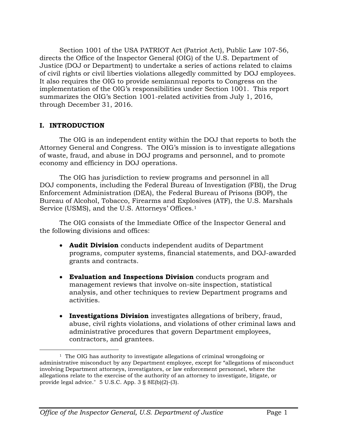Section 1001 of the USA PATRIOT Act (Patriot Act), Public Law 107-56, directs the Office of the Inspector General (OIG) of the U.S. Department of Justice (DOJ or Department) to undertake a series of actions related to claims of civil rights or civil liberties violations allegedly committed by DOJ employees. It also requires the OIG to provide semiannual reports to Congress on the implementation of the OIG's responsibilities under Section 1001. This report summarizes the OIG's Section 1001-related activities from July 1, 2016, through December 31, 2016.

#### **I. INTRODUCTION**

The OIG is an independent entity within the DOJ that reports to both the Attorney General and Congress. The OIG's mission is to investigate allegations of waste, fraud, and abuse in DOJ programs and personnel, and to promote economy and efficiency in DOJ operations.

The OIG has jurisdiction to review programs and personnel in all DOJ components, including the Federal Bureau of Investigation (FBI), the Drug Enforcement Administration (DEA), the Federal Bureau of Prisons (BOP), the Bureau of Alcohol, Tobacco, Firearms and Explosives (ATF), the U.S. Marshals Service (USMS), and the U.S. Attorneys' Offices.<sup>1</sup>

The OIG consists of the Immediate Office of the Inspector General and the following divisions and offices:

- **Audit Division** conducts independent audits of Department programs, computer systems, financial statements, and DOJ-awarded grants and contracts.
- **Evaluation and Inspections Division** conducts program and management reviews that involve on-site inspection, statistical analysis, and other techniques to review Department programs and activities.
- **Investigations Division** investigates allegations of bribery, fraud, abuse, civil rights violations, and violations of other criminal laws and administrative procedures that govern Department employees, contractors, and grantees.

 $\overline{a}$  $1$  The OIG has authority to investigate allegations of criminal wrongdoing or involving Department attorneys, investigators, or law enforcement personnel, where the provide legal advice." 5 U.S.C. App. 3 § 8E(b)(2)-(3). administrative misconduct by any Department employee, except for "allegations of misconduct allegations relate to the exercise of the authority of an attorney to investigate, litigate, or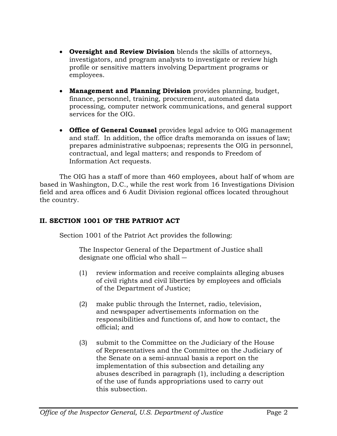- **Oversight and Review Division** blends the skills of attorneys, investigators, and program analysts to investigate or review high profile or sensitive matters involving Department programs or employees.
- **Management and Planning Division** provides planning, budget, finance, personnel, training, procurement, automated data processing, computer network communications, and general support services for the OIG.
- **Office of General Counsel** provides legal advice to OIG management and staff. In addition, the office drafts memoranda on issues of law; prepares administrative subpoenas; represents the OIG in personnel, contractual, and legal matters; and responds to Freedom of Information Act requests.

The OIG has a staff of more than 460 employees, about half of whom are based in Washington, D.C., while the rest work from 16 Investigations Division field and area offices and 6 Audit Division regional offices located throughout the country.

# **II. SECTION 1001 OF THE PATRIOT ACT**

Section 1001 of the Patriot Act provides the following:

 designate one official who shall ― The Inspector General of the Department of Justice shall

- (1) review information and receive complaints alleging abuses of civil rights and civil liberties by employees and officials of the Department of Justice;
- (2) make public through the Internet, radio, television, and newspaper advertisements information on the responsibilities and functions of, and how to contact, the official; and
- (3) submit to the Committee on the Judiciary of the House of Representatives and the Committee on the Judiciary of the Senate on a semi-annual basis a report on the implementation of this subsection and detailing any abuses described in paragraph (1), including a description of the use of funds appropriations used to carry out this subsection.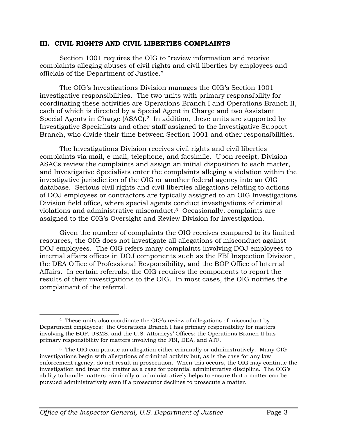#### **III. CIVIL RIGHTS AND CIVIL LIBERTIES COMPLAINTS**

Section 1001 requires the OIG to "review information and receive complaints alleging abuses of civil rights and civil liberties by employees and officials of the Department of Justice."

The OIG's Investigations Division manages the OIG's Section 1001 investigative responsibilities. The two units with primary responsibility for coordinating these activities are Operations Branch I and Operations Branch II, each of which is directed by a Special Agent in Charge and two Assistant Special Agents in Charge (ASAC).<sup>2</sup> In addition, these units are supported by Investigative Specialists and other staff assigned to the Investigative Support Branch, who divide their time between Section 1001 and other responsibilities.

The Investigations Division receives civil rights and civil liberties complaints via mail, e-mail, telephone, and facsimile. Upon receipt, Division ASACs review the complaints and assign an initial disposition to each matter, and Investigative Specialists enter the complaints alleging a violation within the investigative jurisdiction of the OIG or another federal agency into an OIG database. Serious civil rights and civil liberties allegations relating to actions of DOJ employees or contractors are typically assigned to an OIG Investigations Division field office, where special agents conduct investigations of criminal violations and administrative misconduct.3 Occasionally, complaints are assigned to the OIG's Oversight and Review Division for investigation.

Given the number of complaints the OIG receives compared to its limited resources, the OIG does not investigate all allegations of misconduct against DOJ employees. The OIG refers many complaints involving DOJ employees to internal affairs offices in DOJ components such as the FBI Inspection Division, the DEA Office of Professional Responsibility, and the BOP Office of Internal Affairs. In certain referrals, the OIG requires the components to report the results of their investigations to the OIG. In most cases, the OIG notifies the complainant of the referral.

 $\overline{a}$  $2$  These units also coordinate the OIG's review of allegations of misconduct by involving the BOP, USMS, and the U.S. Attorneys' Offices; the Operations Branch II has Department employees: the Operations Branch I has primary responsibility for matters primary responsibility for matters involving the FBI, DEA, and ATF.

<sup>&</sup>lt;sup>3</sup> The OIG can pursue an allegation either criminally or administratively. Many OIG pursued administratively even if a prosecutor declines to prosecute a matter. investigations begin with allegations of criminal activity but, as is the case for any law enforcement agency, do not result in prosecution. When this occurs, the OIG may continue the investigation and treat the matter as a case for potential administrative discipline. The OIG's ability to handle matters criminally or administratively helps to ensure that a matter can be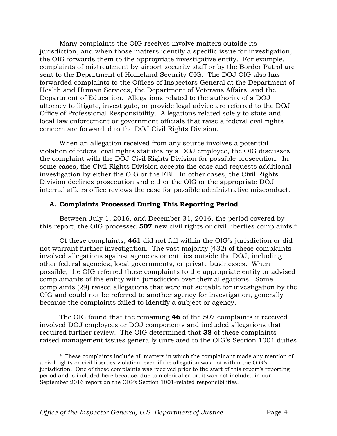Many complaints the OIG receives involve matters outside its jurisdiction, and when those matters identify a specific issue for investigation, the OIG forwards them to the appropriate investigative entity. For example, complaints of mistreatment by airport security staff or by the Border Patrol are sent to the Department of Homeland Security OIG. The DOJ OIG also has forwarded complaints to the Offices of Inspectors General at the Department of Health and Human Services, the Department of Veterans Affairs, and the Department of Education. Allegations related to the authority of a DOJ attorney to litigate, investigate, or provide legal advice are referred to the DOJ Office of Professional Responsibility. Allegations related solely to state and local law enforcement or government officials that raise a federal civil rights concern are forwarded to the DOJ Civil Rights Division.

When an allegation received from any source involves a potential violation of federal civil rights statutes by a DOJ employee, the OIG discusses the complaint with the DOJ Civil Rights Division for possible prosecution. In some cases, the Civil Rights Division accepts the case and requests additional investigation by either the OIG or the FBI. In other cases, the Civil Rights Division declines prosecution and either the OIG or the appropriate DOJ internal affairs office reviews the case for possible administrative misconduct.

#### **A. Complaints Processed During This Reporting Period**

 this report, the OIG processed **507** new civil rights or civil liberties complaints.4 Between July 1, 2016, and December 31, 2016, the period covered by

Of these complaints, **461** did not fall within the OIG's jurisdiction or did not warrant further investigation. The vast majority (432) of these complaints involved allegations against agencies or entities outside the DOJ, including other federal agencies, local governments, or private businesses. When possible, the OIG referred those complaints to the appropriate entity or advised complainants of the entity with jurisdiction over their allegations. Some complaints (29) raised allegations that were not suitable for investigation by the OIG and could not be referred to another agency for investigation, generally because the complaints failed to identify a subject or agency.

The OIG found that the remaining **46** of the 507 complaints it received involved DOJ employees or DOJ components and included allegations that required further review. The OIG determined that **38** of these complaints raised management issues generally unrelated to the OIG's Section 1001 duties

 $\overline{a}$  4 These complaints include all matters in which the complainant made any mention of a civil rights or civil liberties violation, even if the allegation was not within the OIG's jurisdiction. One of these complaints was received prior to the start of this report's reporting period and is included here because, due to a clerical error, it was not included in our September 2016 report on the OIG's Section 1001-related responsibilities.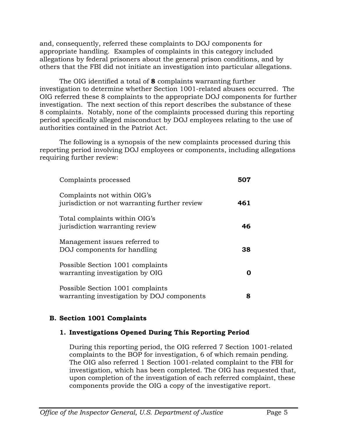and, consequently, referred these complaints to DOJ components for appropriate handling. Examples of complaints in this category included allegations by federal prisoners about the general prison conditions, and by others that the FBI did not initiate an investigation into particular allegations.

The OIG identified a total of **8** complaints warranting further investigation to determine whether Section 1001-related abuses occurred. The OIG referred these 8 complaints to the appropriate DOJ components for further investigation. The next section of this report describes the substance of these 8 complaints. Notably, none of the complaints processed during this reporting period specifically alleged misconduct by DOJ employees relating to the use of authorities contained in the Patriot Act.

The following is a synopsis of the new complaints processed during this reporting period involving DOJ employees or components, including allegations requiring further review:

| Complaints processed                                                           | 507 |
|--------------------------------------------------------------------------------|-----|
| Complaints not within OIG's<br>jurisdiction or not warranting further review   | 461 |
| Total complaints within OIG's<br>jurisdiction warranting review                | 46  |
| Management issues referred to<br>DOJ components for handling                   | 38  |
| Possible Section 1001 complaints<br>warranting investigation by OIG            |     |
| Possible Section 1001 complaints<br>warranting investigation by DOJ components | 8   |

# **B. Section 1001 Complaints**

#### **1. Investigations Opened During This Reporting Period**

During this reporting period, the OIG referred 7 Section 1001-related complaints to the BOP for investigation, 6 of which remain pending. The OIG also referred 1 Section 1001-related complaint to the FBI for investigation, which has been completed. The OIG has requested that, upon completion of the investigation of each referred complaint, these components provide the OIG a copy of the investigative report.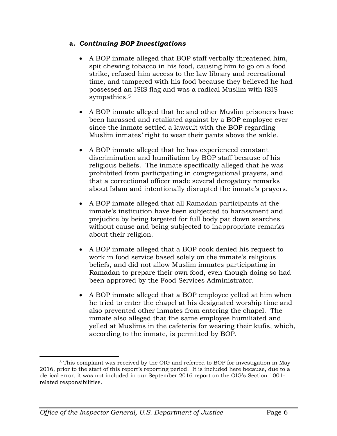#### **a.** *Continuing BOP Investigations*

- A BOP inmate alleged that BOP staff verbally threatened him, spit chewing tobacco in his food, causing him to go on a food strike, refused him access to the law library and recreational time, and tampered with his food because they believed he had possessed an ISIS flag and was a radical Muslim with ISIS sympathies.5
- A BOP inmate alleged that he and other Muslim prisoners have been harassed and retaliated against by a BOP employee ever since the inmate settled a lawsuit with the BOP regarding Muslim inmates' right to wear their pants above the ankle.
- A BOP inmate alleged that he has experienced constant discrimination and humiliation by BOP staff because of his religious beliefs. The inmate specifically alleged that he was prohibited from participating in congregational prayers, and that a correctional officer made several derogatory remarks about Islam and intentionally disrupted the inmate's prayers.
- A BOP inmate alleged that all Ramadan participants at the inmate's institution have been subjected to harassment and prejudice by being targeted for full body pat down searches without cause and being subjected to inappropriate remarks about their religion.
- A BOP inmate alleged that a BOP cook denied his request to work in food service based solely on the inmate's religious beliefs, and did not allow Muslim inmates participating in Ramadan to prepare their own food, even though doing so had been approved by the Food Services Administrator.
- A BOP inmate alleged that a BOP employee yelled at him when he tried to enter the chapel at his designated worship time and also prevented other inmates from entering the chapel. The inmate also alleged that the same employee humiliated and yelled at Muslims in the cafeteria for wearing their kufis, which, according to the inmate, is permitted by BOP.

 $\overline{a}$ 

<sup>5</sup> This complaint was received by the OIG and referred to BOP for investigation in May 2016, prior to the start of this report's reporting period. It is included here because, due to a clerical error, it was not included in our September 2016 report on the OIG's Section 1001 related responsibilities.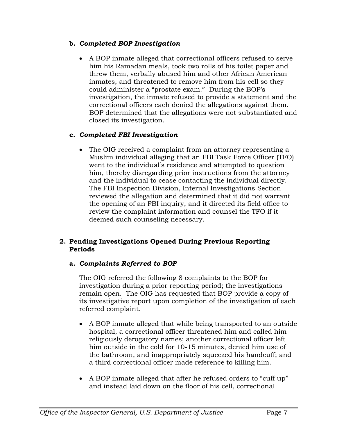# **b.** *Completed BOP Investigation*

 closed its investigation. A BOP inmate alleged that correctional officers refused to serve him his Ramadan meals, took two rolls of his toilet paper and threw them, verbally abused him and other African American inmates, and threatened to remove him from his cell so they could administer a "prostate exam." During the BOP's investigation, the inmate refused to provide a statement and the correctional officers each denied the allegations against them. BOP determined that the allegations were not substantiated and

# **c.** *Completed FBI Investigation*

 deemed such counseling necessary. The OIG received a complaint from an attorney representing a Muslim individual alleging that an FBI Task Force Officer (TFO) went to the individual's residence and attempted to question him, thereby disregarding prior instructions from the attorney and the individual to cease contacting the individual directly. The FBI Inspection Division, Internal Investigations Section reviewed the allegation and determined that it did not warrant the opening of an FBI inquiry, and it directed its field office to review the complaint information and counsel the TFO if it

# **2. Pending Investigations Opened During Previous Reporting Periods**

# **a.** *Complaints Referred to BOP*

The OIG referred the following 8 complaints to the BOP for investigation during a prior reporting period; the investigations remain open. The OIG has requested that BOP provide a copy of its investigative report upon completion of the investigation of each referred complaint.

- A BOP inmate alleged that while being transported to an outside hospital, a correctional officer threatened him and called him religiously derogatory names; another correctional officer left him outside in the cold for 10-15 minutes, denied him use of the bathroom, and inappropriately squeezed his handcuff; and a third correctional officer made reference to killing him.
- A BOP inmate alleged that after he refused orders to "cuff up" and instead laid down on the floor of his cell, correctional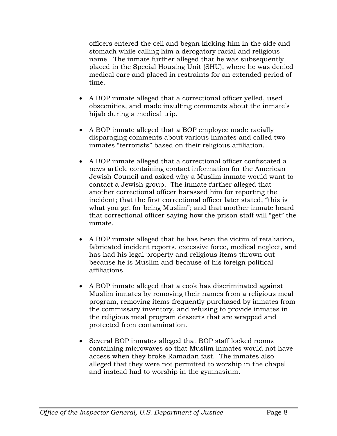officers entered the cell and began kicking him in the side and stomach while calling him a derogatory racial and religious name. The inmate further alleged that he was subsequently placed in the Special Housing Unit (SHU), where he was denied medical care and placed in restraints for an extended period of time.

- A BOP inmate alleged that a correctional officer yelled, used obscenities, and made insulting comments about the inmate's hijab during a medical trip.
- A BOP inmate alleged that a BOP employee made racially disparaging comments about various inmates and called two inmates "terrorists" based on their religious affiliation.
- A BOP inmate alleged that a correctional officer confiscated a news article containing contact information for the American Jewish Council and asked why a Muslim inmate would want to contact a Jewish group. The inmate further alleged that another correctional officer harassed him for reporting the incident; that the first correctional officer later stated, "this is what you get for being Muslim"; and that another inmate heard that correctional officer saying how the prison staff will "get" the inmate.
- A BOP inmate alleged that he has been the victim of retaliation, fabricated incident reports, excessive force, medical neglect, and has had his legal property and religious items thrown out because he is Muslim and because of his foreign political affiliations.
- A BOP inmate alleged that a cook has discriminated against Muslim inmates by removing their names from a religious meal program, removing items frequently purchased by inmates from the commissary inventory, and refusing to provide inmates in the religious meal program desserts that are wrapped and protected from contamination.
- Several BOP inmates alleged that BOP staff locked rooms containing microwaves so that Muslim inmates would not have access when they broke Ramadan fast. The inmates also alleged that they were not permitted to worship in the chapel and instead had to worship in the gymnasium.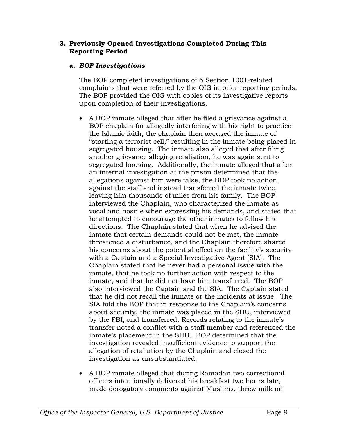#### **3. Previously Opened Investigations Completed During This Reporting Period**

# **a.** *BOP Investigations*

The BOP completed investigations of 6 Section 1001-related complaints that were referred by the OIG in prior reporting periods. The BOP provided the OIG with copies of its investigative reports upon completion of their investigations.

- A BOP inmate alleged that after he filed a grievance against a BOP chaplain for allegedly interfering with his right to practice the Islamic faith, the chaplain then accused the inmate of "starting a terrorist cell," resulting in the inmate being placed in segregated housing. The inmate also alleged that after filing another grievance alleging retaliation, he was again sent to segregated housing. Additionally, the inmate alleged that after an internal investigation at the prison determined that the allegations against him were false, the BOP took no action against the staff and instead transferred the inmate twice, leaving him thousands of miles from his family. The BOP interviewed the Chaplain, who characterized the inmate as vocal and hostile when expressing his demands, and stated that he attempted to encourage the other inmates to follow his directions. The Chaplain stated that when he advised the inmate that certain demands could not be met, the inmate threatened a disturbance, and the Chaplain therefore shared his concerns about the potential effect on the facility's security with a Captain and a Special Investigative Agent (SIA). The Chaplain stated that he never had a personal issue with the inmate, that he took no further action with respect to the inmate, and that he did not have him transferred. The BOP also interviewed the Captain and the SIA. The Captain stated that he did not recall the inmate or the incidents at issue. The SIA told the BOP that in response to the Chaplain's concerns about security, the inmate was placed in the SHU, interviewed by the FBI, and transferred. Records relating to the inmate's transfer noted a conflict with a staff member and referenced the inmate's placement in the SHU. BOP determined that the investigation revealed insufficient evidence to support the allegation of retaliation by the Chaplain and closed the investigation as unsubstantiated.
- A BOP inmate alleged that during Ramadan two correctional officers intentionally delivered his breakfast two hours late, made derogatory comments against Muslims, threw milk on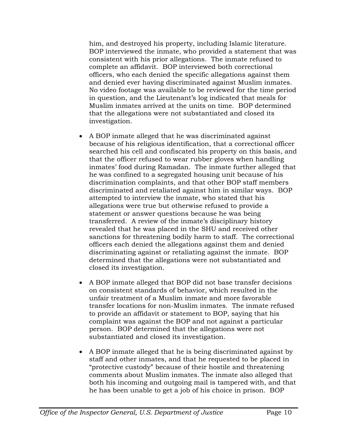him, and destroyed his property, including Islamic literature. BOP interviewed the inmate, who provided a statement that was consistent with his prior allegations. The inmate refused to complete an affidavit. BOP interviewed both correctional officers, who each denied the specific allegations against them and denied ever having discriminated against Muslim inmates. No video footage was available to be reviewed for the time period in question, and the Lieutenant's log indicated that meals for Muslim inmates arrived at the units on time. BOP determined that the allegations were not substantiated and closed its investigation.

- A BOP inmate alleged that he was discriminated against because of his religious identification, that a correctional officer searched his cell and confiscated his property on this basis, and that the officer refused to wear rubber gloves when handling inmates' food during Ramadan. The inmate further alleged that he was confined to a segregated housing unit because of his discrimination complaints, and that other BOP staff members discriminated and retaliated against him in similar ways. BOP attempted to interview the inmate, who stated that his allegations were true but otherwise refused to provide a statement or answer questions because he was being transferred. A review of the inmate's disciplinary history revealed that he was placed in the SHU and received other sanctions for threatening bodily harm to staff. The correctional officers each denied the allegations against them and denied discriminating against or retaliating against the inmate. BOP determined that the allegations were not substantiated and closed its investigation.
- A BOP inmate alleged that BOP did not base transfer decisions on consistent standards of behavior, which resulted in the unfair treatment of a Muslim inmate and more favorable transfer locations for non-Muslim inmates. The inmate refused to provide an affidavit or statement to BOP, saying that his complaint was against the BOP and not against a particular person. BOP determined that the allegations were not substantiated and closed its investigation.
- A BOP inmate alleged that he is being discriminated against by staff and other inmates, and that he requested to be placed in "protective custody" because of their hostile and threatening comments about Muslim inmates. The inmate also alleged that both his incoming and outgoing mail is tampered with, and that he has been unable to get a job of his choice in prison. BOP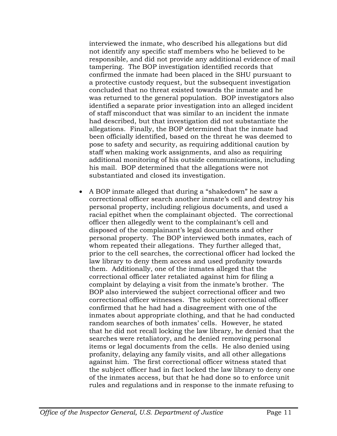substantiated and closed its investigation. interviewed the inmate, who described his allegations but did not identify any specific staff members who he believed to be responsible, and did not provide any additional evidence of mail tampering. The BOP investigation identified records that confirmed the inmate had been placed in the SHU pursuant to a protective custody request, but the subsequent investigation concluded that no threat existed towards the inmate and he was returned to the general population. BOP investigators also identified a separate prior investigation into an alleged incident of staff misconduct that was similar to an incident the inmate had described, but that investigation did not substantiate the allegations. Finally, the BOP determined that the inmate had been officially identified, based on the threat he was deemed to pose to safety and security, as requiring additional caution by staff when making work assignments, and also as requiring additional monitoring of his outside communications, including his mail. BOP determined that the allegations were not

 A BOP inmate alleged that during a "shakedown" he saw a correctional officer search another inmate's cell and destroy his personal property, including religious documents, and used a racial epithet when the complainant objected. The correctional officer then allegedly went to the complainant's cell and disposed of the complainant's legal documents and other personal property. The BOP interviewed both inmates, each of whom repeated their allegations. They further alleged that, prior to the cell searches, the correctional officer had locked the law library to deny them access and used profanity towards them. Additionally, one of the inmates alleged that the correctional officer later retaliated against him for filing a complaint by delaying a visit from the inmate's brother. The BOP also interviewed the subject correctional officer and two correctional officer witnesses. The subject correctional officer confirmed that he had had a disagreement with one of the inmates about appropriate clothing, and that he had conducted random searches of both inmates' cells. However, he stated that he did not recall locking the law library, he denied that the searches were retaliatory, and he denied removing personal items or legal documents from the cells. He also denied using profanity, delaying any family visits, and all other allegations against him. The first correctional officer witness stated that the subject officer had in fact locked the law library to deny one of the inmates access, but that he had done so to enforce unit rules and regulations and in response to the inmate refusing to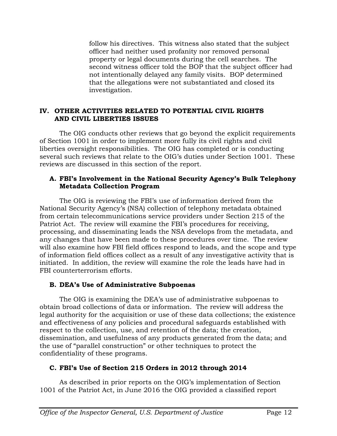follow his directives. This witness also stated that the subject officer had neither used profanity nor removed personal property or legal documents during the cell searches. The second witness officer told the BOP that the subject officer had not intentionally delayed any family visits. BOP determined that the allegations were not substantiated and closed its investigation.

#### **IV. OTHER ACTIVITIES RELATED TO POTENTIAL CIVIL RIGHTS AND CIVIL LIBERTIES ISSUES**

The OIG conducts other reviews that go beyond the explicit requirements of Section 1001 in order to implement more fully its civil rights and civil liberties oversight responsibilities. The OIG has completed or is conducting several such reviews that relate to the OIG's duties under Section 1001. These reviews are discussed in this section of the report.

#### **A. FBI's Involvement in the National Security Agency's Bulk Telephony Metadata Collection Program**

The OIG is reviewing the FBI's use of information derived from the National Security Agency's (NSA) collection of telephony metadata obtained from certain telecommunications service providers under Section 215 of the Patriot Act. The review will examine the FBI's procedures for receiving, processing, and disseminating leads the NSA develops from the metadata, and any changes that have been made to these procedures over time. The review will also examine how FBI field offices respond to leads, and the scope and type of information field offices collect as a result of any investigative activity that is initiated. In addition, the review will examine the role the leads have had in FBI counterterrorism efforts.

# **B. DEA's Use of Administrative Subpoenas**

The OIG is examining the DEA's use of administrative subpoenas to obtain broad collections of data or information. The review will address the legal authority for the acquisition or use of these data collections; the existence and effectiveness of any policies and procedural safeguards established with respect to the collection, use, and retention of the data; the creation, dissemination, and usefulness of any products generated from the data; and the use of "parallel construction" or other techniques to protect the confidentiality of these programs.

# **C. FBI's Use of Section 215 Orders in 2012 through 2014**

As described in prior reports on the OIG's implementation of Section 1001 of the Patriot Act, in June 2016 the OIG provided a classified report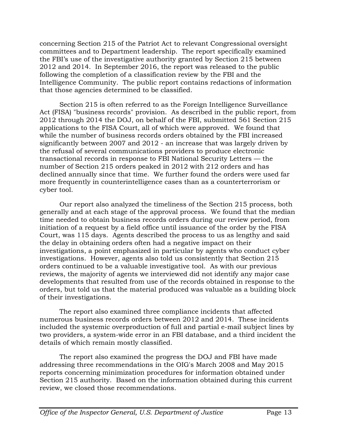concerning Section 215 of the Patriot Act to relevant Congressional oversight committees and to Department leadership. The report specifically examined the FBI's use of the investigative authority granted by Section 215 between 2012 and 2014. In September 2016, the report was released to the public following the completion of a classification review by the FBI and the Intelligence Community. The public report contains redactions of information that those agencies determined to be classified.

Section 215 is often referred to as the Foreign Intelligence Surveillance Act (FISA) "business records" provision. As described in the public report, from 2012 through 2014 the DOJ, on behalf of the FBI, submitted 561 Section 215 applications to the FISA Court, all of which were approved. We found that while the number of business records orders obtained by the FBI increased significantly between 2007 and 2012 - an increase that was largely driven by the refusal of several communications providers to produce electronic transactional records in response to FBI National Security Letters — the number of Section 215 orders peaked in 2012 with 212 orders and has declined annually since that time. We further found the orders were used far more frequently in counterintelligence cases than as a counterterrorism or cyber tool.

Our report also analyzed the timeliness of the Section 215 process, both generally and at each stage of the approval process. We found that the median time needed to obtain business records orders during our review period, from initiation of a request by a field office until issuance of the order by the FISA Court, was 115 days. Agents described the process to us as lengthy and said the delay in obtaining orders often had a negative impact on their investigations, a point emphasized in particular by agents who conduct cyber investigations. However, agents also told us consistently that Section 215 orders continued to be a valuable investigative tool. As with our previous reviews, the majority of agents we interviewed did not identify any major case developments that resulted from use of the records obtained in response to the orders, but told us that the material produced was valuable as a building block of their investigations.

The report also examined three compliance incidents that affected numerous business records orders between 2012 and 2014. These incidents included the systemic overproduction of full and partial e-mail subject lines by two providers, a system-wide error in an FBI database, and a third incident the details of which remain mostly classified.

The report also examined the progress the DOJ and FBI have made addressing three recommendations in the OIG's March 2008 and May 2015 reports concerning minimization procedures for information obtained under Section 215 authority. Based on the information obtained during this current review, we closed those recommendations.